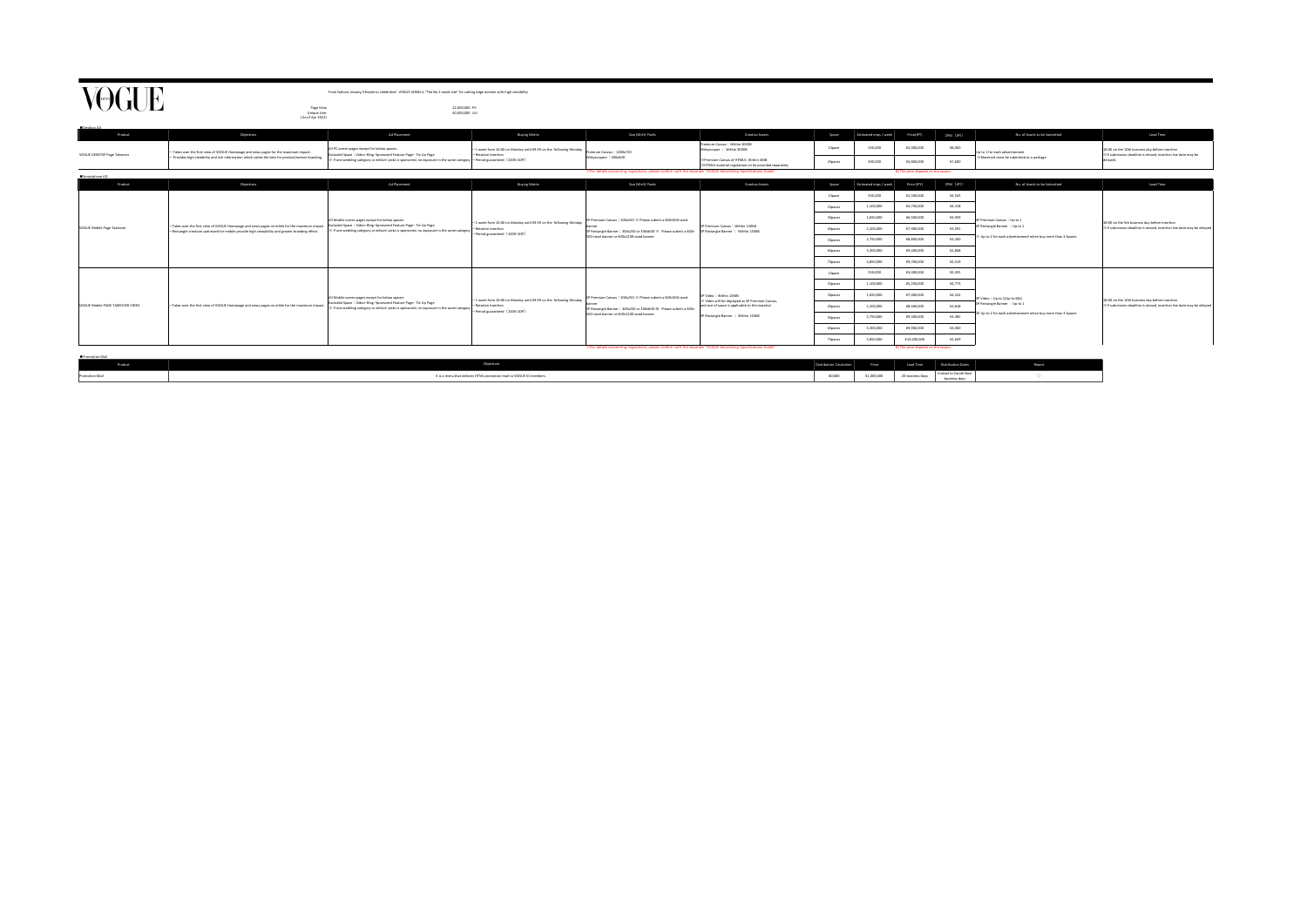| nduct.         | riectives.                                                          | listribution Circulation |            | Lead Tin      | <b>Austribution Dates</b>          |  |
|----------------|---------------------------------------------------------------------|--------------------------|------------|---------------|------------------------------------|--|
| Promotion Mail | It is a menu that delivers HTML promotion mail to VOGUE ID members. | 80,000                   | V1.000.00/ | 20 business L | .cd to Condé Nast<br>business days |  |

 $\begin{picture}(20,20) \put(0,0){\line(1,0){155}} \put(15,0){\line(1,0){155}} \put(15,0){\line(1,0){155}} \put(15,0){\line(1,0){155}} \put(15,0){\line(1,0){155}} \put(15,0){\line(1,0){155}} \put(15,0){\line(1,0){155}} \put(15,0){\line(1,0){155}} \put(15,0){\line(1,0){155}} \put(15,0){\line(1,0){155}} \put(15,0){\line(1,0){155}} \$ 

| VOGUE                            |                                                                                                                                                                                                 | From fashion, beauty, lifestyle to celebrities! VOGUE JAPAN is "The No.1 mode site" for cutting edge women with high sensibility.                                                                                                                 |                                                                                                                         |                                                                                                                                                                                                             |                                                                                                              |                |                         |                                    |           |                                                                                                                          |                                                                                                                              |
|----------------------------------|-------------------------------------------------------------------------------------------------------------------------------------------------------------------------------------------------|---------------------------------------------------------------------------------------------------------------------------------------------------------------------------------------------------------------------------------------------------|-------------------------------------------------------------------------------------------------------------------------|-------------------------------------------------------------------------------------------------------------------------------------------------------------------------------------------------------------|--------------------------------------------------------------------------------------------------------------|----------------|-------------------------|------------------------------------|-----------|--------------------------------------------------------------------------------------------------------------------------|------------------------------------------------------------------------------------------------------------------------------|
|                                  | Page View<br>Unique User                                                                                                                                                                        | 22,000,000 PV<br>40,000,000 UU                                                                                                                                                                                                                    |                                                                                                                         |                                                                                                                                                                                                             |                                                                                                              |                |                         |                                    |           |                                                                                                                          |                                                                                                                              |
| Desktop AD                       | (As of Apr 2022)                                                                                                                                                                                |                                                                                                                                                                                                                                                   |                                                                                                                         |                                                                                                                                                                                                             |                                                                                                              |                |                         |                                    |           |                                                                                                                          |                                                                                                                              |
| Product                          | <b>Objectives</b>                                                                                                                                                                               | <b>Ad Placement</b>                                                                                                                                                                                                                               | <b>Buying Metric</b>                                                                                                    | Size (W×H) Pixels                                                                                                                                                                                           | <b>Creative Assets</b>                                                                                       | Space          | Estimated imps / week   | Price(JPY)                         | CPM (JPY) | No. of Assets to be Submitted                                                                                            | Lead Time                                                                                                                    |
|                                  | Takes over the first view of VOGUE Homepage and news pages for the maximum impact.<br>- Provides high viewbility and rich information which suites the best for product/service branding.       | All PC screen pages except for below spaces:<br>Excluded Space: Video · Blog · Sponsored Feature Page · Tie Up Page<br>X If one wedding category or editors' picks is sponsored, no exposure in the same category  - Period guaranteed (100% SOP) | 1 week from 10:00 on Monday until 09:59 on the following Monday<br>-Rotation Insertion                                  | remium Canvas: 1280x720<br>Wskyscraperr: 300x600                                                                                                                                                            | Premium Canvas : Within 300KB<br>Wskyscraper : Within 300KB                                                  | 1Space         | 250,000                 | ¥2,000,000                         | ¥8,000    | Up to 1 for each advertisement                                                                                           | 18:00 on the 10th business day before insertion<br>※If submission deadline is missed, insertion live date may be<br>delayed. |
| VOGUE DESKTOP Page Takeover      |                                                                                                                                                                                                 |                                                                                                                                                                                                                                                   |                                                                                                                         |                                                                                                                                                                                                             | <b>X Premium Canvas of HTML5: Within 4MB</b><br><b>※HTML5</b> material regulations to be provided separately | <b>2Spaces</b> | 500,000                 | ¥3,800,000                         | ¥7.600    | X Materials must be submitted as a package                                                                               |                                                                                                                              |
| Smartphone AD                    |                                                                                                                                                                                                 |                                                                                                                                                                                                                                                   |                                                                                                                         | . "For details concerning regulations, please confirm with the separate "VOGUE Advertising Specifications Guide".                                                                                           |                                                                                                              |                |                         | ※ The price depends on the season. |           |                                                                                                                          |                                                                                                                              |
| Product                          | <b>Objectives</b>                                                                                                                                                                               | <b>Ad Placement</b>                                                                                                                                                                                                                               | <b>Buying Metric</b>                                                                                                    | Size (W×H) Pixels                                                                                                                                                                                           | <b>Creative Assets</b>                                                                                       | Space          | Estimated imps / week   | Price (JPY)                        | CPM (JPY) | No. of Assets to be Submitted                                                                                            | Lead Time                                                                                                                    |
|                                  |                                                                                                                                                                                                 | All Mobile screen pages except for below spaces:<br>Excluded Space: Video · Blog · Sponsored Feature Page · Tie Up Page<br>X If one wedding category or editors' picks is sponsored, no exposure in the same category                             | 1 week from 10:00 on Monday until 09:59 on the following Monday<br>-Rotation Insertion<br>-Period guaranteed (100% SOP) | SP Premium Canvas: 300x250 % Please submit a 600×500-sized<br>SP Rectangle Banner: 300x250 or 300x600 % Please submit a 600x SP Rectangle Banner: Within 150KB<br>500-sized banner or 600x1200-sized banner | SP Premium Canvas: Within 150KB                                                                              | 1Space         | 550,000                 | ¥2,500,000                         | ¥4,545    | P Premium Canvas: Up to 1<br>SP Rectangle Banner : Up to 1<br>Up to 2 for each advertisement when buy more than 3 Spaces |                                                                                                                              |
|                                  |                                                                                                                                                                                                 |                                                                                                                                                                                                                                                   |                                                                                                                         |                                                                                                                                                                                                             |                                                                                                              | <b>2Spaces</b> | 1,100,000               | ¥4,750,000                         | ¥4,318    |                                                                                                                          | 18:00 on the 5th business day before insertion<br>※If submission deadline is missed, insertion live date may be delayed      |
| VOGUE Mobile Page Takeover       |                                                                                                                                                                                                 |                                                                                                                                                                                                                                                   |                                                                                                                         |                                                                                                                                                                                                             |                                                                                                              | 3Spaces        | 1,650,000               | ¥6,500,000                         | ¥3,939    |                                                                                                                          |                                                                                                                              |
|                                  | -Takes over the first view of VOGUE Homepage and news pages on mible for the maximum impact.<br>-Rectangle creatives optimized for mobile provide high viewability and greater branding effect. |                                                                                                                                                                                                                                                   |                                                                                                                         |                                                                                                                                                                                                             |                                                                                                              | 4Spaces        | 2,200,000               | ¥7,900,000                         | ¥3,591    |                                                                                                                          |                                                                                                                              |
|                                  |                                                                                                                                                                                                 |                                                                                                                                                                                                                                                   |                                                                                                                         |                                                                                                                                                                                                             |                                                                                                              | <b>SSpaces</b> | 2,750,000               | ¥8,800,000                         | ¥3,200    |                                                                                                                          |                                                                                                                              |
|                                  |                                                                                                                                                                                                 |                                                                                                                                                                                                                                                   |                                                                                                                         |                                                                                                                                                                                                             |                                                                                                              | <b>6Spaces</b> | 3,300,000               | ¥9.400,000                         | ¥2.848    |                                                                                                                          |                                                                                                                              |
|                                  |                                                                                                                                                                                                 |                                                                                                                                                                                                                                                   |                                                                                                                         |                                                                                                                                                                                                             |                                                                                                              | 7Spaces        | 3,850,000               | ¥9,700,000                         | ¥2,519    |                                                                                                                          |                                                                                                                              |
|                                  |                                                                                                                                                                                                 | All Mobile screen pages except for below spaces:<br>Excluded Space: Video · Blog · Sponsored Feature Page · Tie Up Page<br>※ If one wedding category or editors' picks is sponsored, no exposure in the same category                             | 1 week from 10:00 on Monday until 09:59 on the following Monday<br>-Rotation Insertion<br>-Period guaranteed (100% SOP) |                                                                                                                                                                                                             |                                                                                                              | 1Space         | 550,000                 | ¥3,000,000                         | ¥5.455    | P Video: Up to 1(Up to 60s)                                                                                              |                                                                                                                              |
|                                  |                                                                                                                                                                                                 |                                                                                                                                                                                                                                                   |                                                                                                                         |                                                                                                                                                                                                             |                                                                                                              | 2Spaces        | 1,100,000               | ¥5,250,000                         | ¥4,773    |                                                                                                                          |                                                                                                                              |
|                                  |                                                                                                                                                                                                 |                                                                                                                                                                                                                                                   |                                                                                                                         | P Premium Canvas: 300x250 % Please submit a 600×500-sized                                                                                                                                                   | P Video: Within 10MB<br>Video will be displayed as SP Premium Canyas.                                        | 3Spaces        | 1.650.000               | ¥7.000.000                         | ¥4,242    |                                                                                                                          | 18:00 on the 10th business day before insertion<br>※If submission deadline is missed, insertion live date may be delayed     |
| VOGUE Mobile PAGE TAKEOVER VIDEO | -Takes over the first view of VOGUE Homepage and news pages on mible for the maximum impact.                                                                                                    |                                                                                                                                                                                                                                                   |                                                                                                                         | SP Rectangle Banner: 300x250 or 300x600 % Please submit a 600x                                                                                                                                              | and size of space is applicable to the material.                                                             | 4Spaces        | 2,200,000<br>¥8,400,000 |                                    | ¥3,818    | SP Rectangle Banner : Up to 1                                                                                            |                                                                                                                              |
|                                  |                                                                                                                                                                                                 |                                                                                                                                                                                                                                                   |                                                                                                                         | 500-sized banner or 600x1200-sized banner                                                                                                                                                                   | SP Rectangle Banner : Within 150KB                                                                           | <b>SSpaces</b> | 2,750,000               | ¥9,300,000                         | ¥3.382    | Up to 2 for each advertisement when buy more than 3 Spaces                                                               |                                                                                                                              |
|                                  |                                                                                                                                                                                                 |                                                                                                                                                                                                                                                   |                                                                                                                         |                                                                                                                                                                                                             |                                                                                                              | <b>6Spaces</b> | 3,300,000               | ¥9,900,000                         | ¥3.000    |                                                                                                                          |                                                                                                                              |
|                                  |                                                                                                                                                                                                 |                                                                                                                                                                                                                                                   |                                                                                                                         |                                                                                                                                                                                                             |                                                                                                              | 7Spaces        | 3,850,000               | ¥10,200,000                        | ¥2.649    |                                                                                                                          |                                                                                                                              |
| Promotion Mail                   |                                                                                                                                                                                                 |                                                                                                                                                                                                                                                   |                                                                                                                         | ** For details concerning regulations, please confirm with the separate "VOGUE Advertising Specifications Guide".                                                                                           |                                                                                                              |                |                         | ※ The price depends on the season. |           |                                                                                                                          |                                                                                                                              |